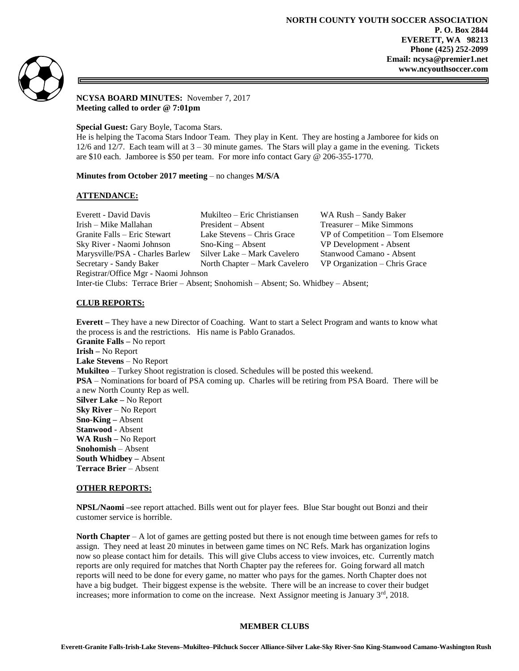

## **NCYSA BOARD MINUTES:** November 7, 2017 **Meeting called to order @ 7:01pm**

**Special Guest:** Gary Boyle, Tacoma Stars.

He is helping the Tacoma Stars Indoor Team. They play in Kent. They are hosting a Jamboree for kids on  $12/6$  and  $12/7$ . Each team will at  $3 - 30$  minute games. The Stars will play a game in the evening. Tickets are \$10 each. Jamboree is \$50 per team. For more info contact Gary @ 206-355-1770.

# **Minutes from October 2017 meeting** – no changes **M/S/A**

# **ATTENDANCE:**

| Everett - David Davis                                                              | Mukilteo – Eric Christiansen  | WA Rush – Sandy Baker            |
|------------------------------------------------------------------------------------|-------------------------------|----------------------------------|
| Irish – Mike Mallahan                                                              | President – Absent            | Treasurer – Mike Simmons         |
| Granite Falls – Eric Stewart                                                       | Lake Stevens – Chris Grace    | VP of Competition – Tom Elsemore |
| Sky River - Naomi Johnson                                                          | $Sno-King - Absent$           | VP Development - Absent          |
| Marysville/PSA - Charles Barlew                                                    | Silver Lake – Mark Cavelero   | Stanwood Camano - Absent         |
| Secretary - Sandy Baker                                                            | North Chapter – Mark Cavelero | VP Organization – Chris Grace    |
| Registrar/Office Mgr - Naomi Johnson                                               |                               |                                  |
| Inter-tie Clubs: Terrace Brier – Absent; Snohomish – Absent; So. Whidbey – Absent; |                               |                                  |

# **CLUB REPORTS:**

**Everett –** They have a new Director of Coaching. Want to start a Select Program and wants to know what the process is and the restrictions. His name is Pablo Granados. **Granite Falls –** No report **Irish –** No Report **Lake Stevens** – No Report **Mukilteo** – Turkey Shoot registration is closed. Schedules will be posted this weekend. **PSA** – Nominations for board of PSA coming up. Charles will be retiring from PSA Board. There will be a new North County Rep as well. **Silver Lake –** No Report **Sky River** – No Report **Sno-King –** Absent **Stanwood** - Absent **WA Rush –** No Report **Snohomish** – Absent **South Whidbey –** Absent **Terrace Brier** – Absent

## **OTHER REPORTS:**

**NPSL/Naomi –**see report attached. Bills went out for player fees. Blue Star bought out Bonzi and their customer service is horrible.

**North Chapter** – A lot of games are getting posted but there is not enough time between games for refs to assign. They need at least 20 minutes in between game times on NC Refs. Mark has organization logins now so please contact him for details. This will give Clubs access to view invoices, etc. Currently match reports are only required for matches that North Chapter pay the referees for. Going forward all match reports will need to be done for every game, no matter who pays for the games. North Chapter does not have a big budget. Their biggest expense is the website. There will be an increase to cover their budget increases; more information to come on the increase. Next Assignor meeting is January  $3<sup>rd</sup>$ , 2018.

# **MEMBER CLUBS**